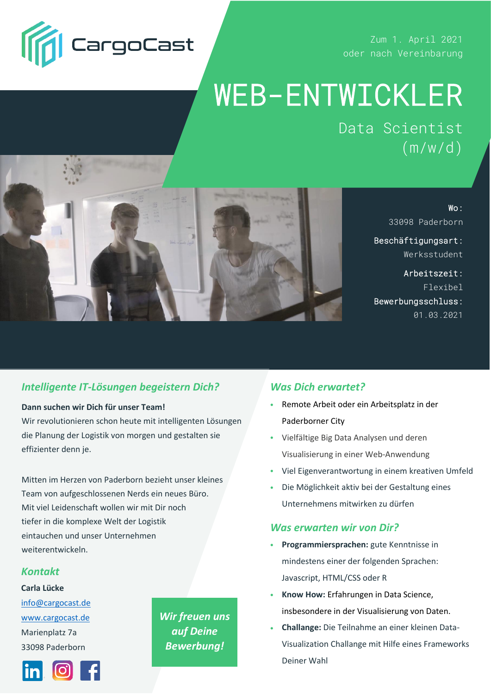

Zum 1. April 2021 oder nach Vereinbarung

# WEB-ENTWICKLER

Data Scientist  $(m/w/d)$ 



Wo: 33098 Paderborn

Beschäftigungsart: Werksstudent

Arbeitszeit: Flexibel Bewerbungsschluss: 01.03.2021

# *Intelligente IT-Lösungen begeistern Dich?*

### **Dann suchen wir Dich für unser Team!**

Wir revolutionieren schon heute mit intelligenten Lösungen die Planung der Logistik von morgen und gestalten sie effizienter denn je.

Mitten im Herzen von Paderborn bezieht unser kleines Team von aufgeschlossenen Nerds ein neues Büro. Mit viel Leidenschaft wollen wir mit Dir noch tiefer in die komplexe Welt der Logistik eintauchen und unser Unternehmen weiterentwickeln.

### *Kontakt*

### **Carla Lücke**

[info@cargocast.de](mailto:info@cargocast.de) [www.cargocast.de](https://www.cargocast.de/) Marienplatz 7a 33098 Paderborn



*Wir freuen uns auf Deine Bewerbung!*

## *Was Dich erwartet?*

- Remote Arbeit oder ein Arbeitsplatz in der Paderborner City
- Vielfältige Big Data Analysen und deren Visualisierung in einer Web-Anwendung
- Viel Eigenverantwortung in einem kreativen Umfeld
- Die Möglichkeit aktiv bei der Gestaltung eines Unternehmens mitwirken zu dürfen

### *Was erwarten wir von Dir?*

- **Programmiersprachen:** gute Kenntnisse in mindestens einer der folgenden Sprachen: Javascript, HTML/CSS oder R
- **Know How:** Erfahrungen in Data Science, insbesondere in der Visualisierung von Daten.
- **Challange:** Die Teilnahme an einer kleinen Data-Visualization Challange mit Hilfe eines Frameworks Deiner Wahl